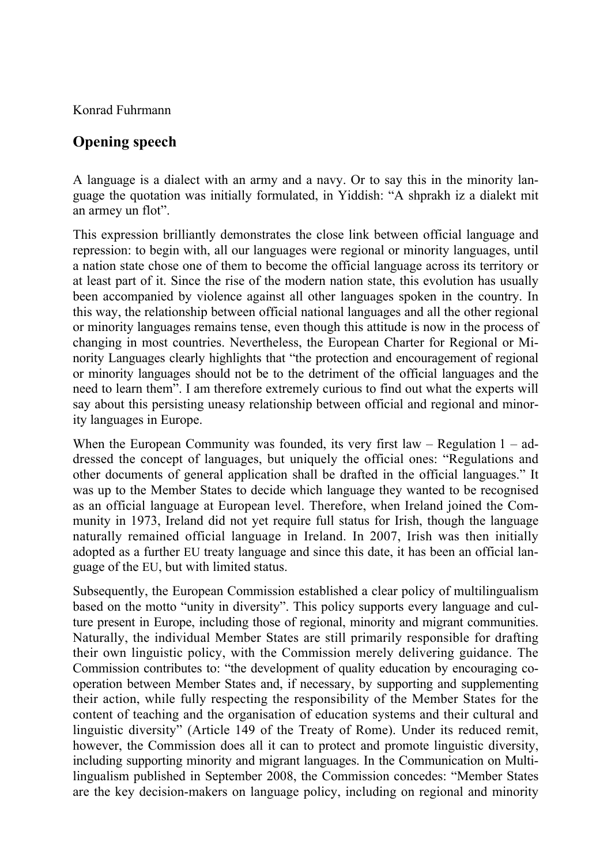Konrad Fuhrmann

## **Opening speech**

A language is a dialect with an army and a navy. Or to say this in the minority language the quotation was initially formulated, in Yiddish: "A shprakh iz a dialekt mit an armey un flot".

This expression brilliantly demonstrates the close link between official language and repression: to begin with, all our languages were regional or minority languages, until a nation state chose one of them to become the official language across its territory or at least part of it. Since the rise of the modern nation state, this evolution has usually been accompanied by violence against all other languages spoken in the country. In this way, the relationship between official national languages and all the other regional or minority languages remains tense, even though this attitude is now in the process of changing in most countries. Nevertheless, the European Charter for Regional or Minority Languages clearly highlights that "the protection and encouragement of regional or minority languages should not be to the detriment of the official languages and the need to learn them". I am therefore extremely curious to find out what the experts will say about this persisting uneasy relationship between official and regional and minority languages in Europe.

When the European Community was founded, its very first law  $-$  Regulation 1  $-$  addressed the concept of languages, but uniquely the official ones: "Regulations and other documents of general application shall be drafted in the official languages." It was up to the Member States to decide which language they wanted to be recognised as an official language at European level. Therefore, when Ireland joined the Community in 1973, Ireland did not yet require full status for Irish, though the language naturally remained official language in Ireland. In 2007, Irish was then initially adopted as a further EU treaty language and since this date, it has been an official language of the EU, but with limited status.

Subsequently, the European Commission established a clear policy of multilingualism based on the motto "unity in diversity". This policy supports every language and culture present in Europe, including those of regional, minority and migrant communities. Naturally, the individual Member States are still primarily responsible for drafting their own linguistic policy, with the Commission merely delivering guidance. The Commission contributes to: "the development of quality education by encouraging cooperation between Member States and, if necessary, by supporting and supplementing their action, while fully respecting the responsibility of the Member States for the content of teaching and the organisation of education systems and their cultural and linguistic diversity" (Article 149 of the Treaty of Rome). Under its reduced remit, however, the Commission does all it can to protect and promote linguistic diversity, including supporting minority and migrant languages. In the Communication on Multilingualism published in September 2008, the Commission concedes: "Member States are the key decision-makers on language policy, including on regional and minority